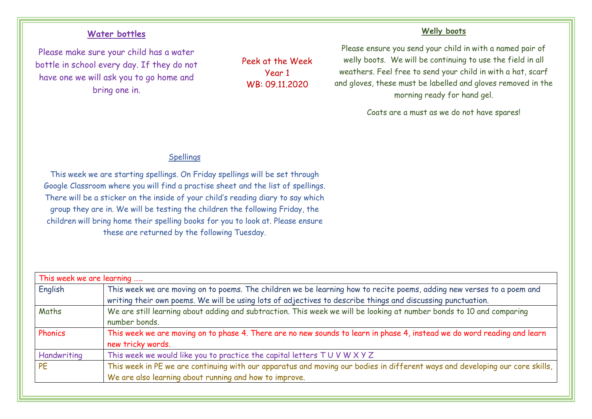## **Water bottles**

Please make sure your child has a water bottle in school every day. If they do not have one we will ask you to go home and bring one in.

Peek at the Week Year 1 WB: 09.11.2020

## **Welly boots**

Please ensure you send your child in with a named pair of welly boots. We will be continuing to use the field in all weathers. Feel free to send your child in with a hat, scarf and gloves, these must be labelled and gloves removed in the morning ready for hand gel.

Coats are a must as we do not have spares!

## Spellings

This week we are starting spellings. On Friday spellings will be set through Google Classroom where you will find a practise sheet and the list of spellings. There will be a sticker on the inside of your child's reading diary to say which group they are in. We will be testing the children the following Friday, the children will bring home their spelling books for you to look at. Please ensure these are returned by the following Tuesday.

| This week we are learning |                                                                                                                                                                                                                                      |
|---------------------------|--------------------------------------------------------------------------------------------------------------------------------------------------------------------------------------------------------------------------------------|
| English                   | This week we are moving on to poems. The children we be learning how to recite poems, adding new verses to a poem and<br>writing their own poems. We will be using lots of adjectives to describe things and discussing punctuation. |
| Maths                     | We are still learning about adding and subtraction. This week we will be looking at number bonds to 10 and comparing<br>number bonds.                                                                                                |
| Phonics                   | This week we are moving on to phase 4. There are no new sounds to learn in phase 4, instead we do word reading and learn<br>new tricky words.                                                                                        |
| Handwriting               | This week we would like you to practice the capital letters TUVWXYZ                                                                                                                                                                  |
| <b>PE</b>                 | This week in PE we are continuing with our apparatus and moving our bodies in different ways and developing our core skills,<br>We are also learning about running and how to improve.                                               |